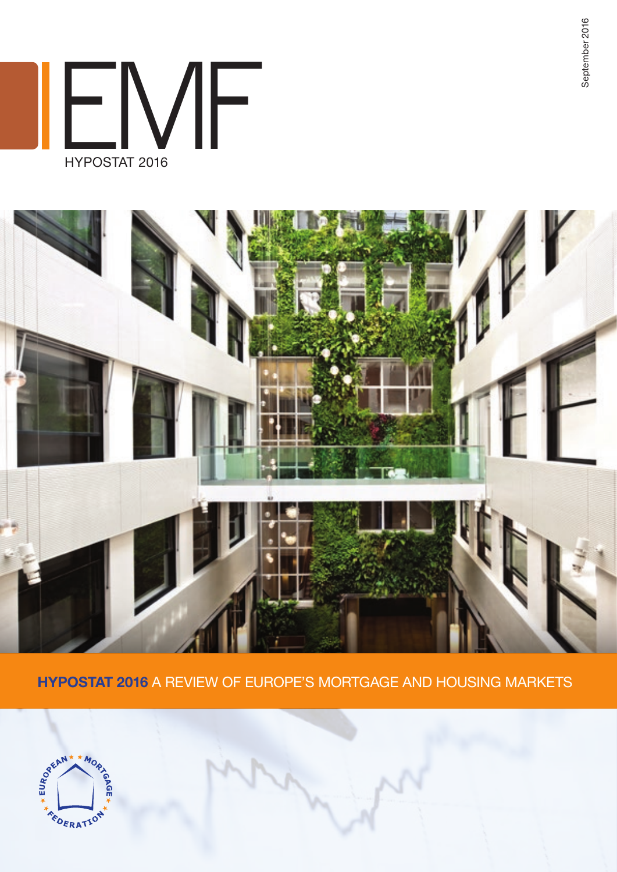EMF HYPOSTAT 2016



HYPOSTAT 2016 A review of europe's mortgage and housing markets



September 2016 September 2016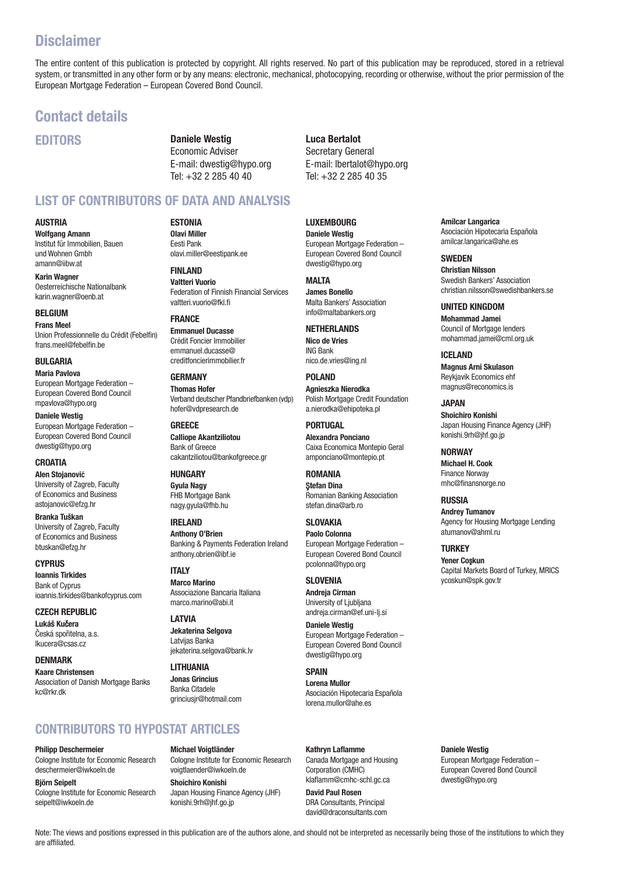# **Disclaimer**

The entire content of this publication is protected by copyright. All rights reserved. No part of this publication may be reproduced, stored in a retrieval system, or transmitted in any other form or by any means: electronic, mechanical, photocopying, recording or otherwise, without the prior permission of the European Mortgage Federation – European Covered Bond Council.

# Contact details

EDITORS

Daniele Westig Economic Adviser E-mail: dwestig@hypo.org Tel: +32 2 285 40 40

# LIST OF CONTRIBUTORS OF DATA AND ANALYSIS

### AUSTRIA

Wolfgang Amann Institut für Immobilien, Bauen und Wohnen Gmbh amann@iibw.at

Karin Wagner Oesterreichische Nationalbank karin.wagner@oenb.at

BELGIUM Frans Meel Union Professionnelle du Crédit (Febelfin) frans.meel@febelfin.be

**BULGARIA** Maria Pavlova European Mortgage Federation – European Covered Bond Council

mpavlova@hypo.org Daniele Westig

European Mortgage Federation – European Covered Bond Council dwestig@hypo.org

**CROATIA** Alen Stojanovi**ć** University of Zagreb, Faculty of Economics and Business astojanovic@efzg.hr

Branka Tuškan University of Zagreb, Faculty of Economics and Business btuskan@efzg.hr

**CYPRUS** Ioannis Tirkides Bank of Cyprus ioannis.tirkides@bankofcyprus.com

CZECH REPUBLIC Lukáš Kučera Česká spořitelna, a.s. lkucera@csas.cz

**DENMARK** Kaare Christensen Association of Danish Mortgage Banks kc@rkr.dk

**ESTONIA** Olavi Miller Eesti Pank olavi.miller@eestipank.ee

FINLAND Valtteri Vuorio Federation of Finnish Financial Services valtteri.vuorio@fkl.fi

**FRANCE** Emmanuel Ducasse Crédit Foncier Immobilier emmanuel.ducasse@ creditfoncierimmobilier.fr

**GERMANY** Thomas Hofer Verband deutscher Pfandbriefbanken (vdp) hofer@vdpresearch.de

**GREECE** Calliope Akantziliotou Bank of Greece cakantziliotou@bankofgreece.gr

**HUNGARY** Gyula Nagy FHB Mortgage Bank nagy.gyula@fhb.hu

IRELAND Anthony O'Brien Banking & Payments Federation Ireland anthony.obrien@ibf.ie

**ITALY** Marco Marino Associazione Bancaria Italiana marco.marino@abi.it

LATVIA Jekaterina Selgova Latvijas Banka jekaterina.selgova@bank.lv

LITHUANIA Jonas Grincius Banka Citadele grinciusjr@hotmail.com

# CONTRIBUTORS TO HYPOSTAT ARTICLES

#### Philipp Deschermeier

Cologne Institute for Economic Research deschermeier@iwkoeln.de

Björn Seipelt Cologne Institute for Economic Research seipelt@iwkoeln.de

Michael Voigtländer Cologne Institute for Economic Research voigtlaender@iwkoeln.de

Shoichiro Konishi Japan Housing Finance Agency (JHF) konishi.9rh@jhf.go.jp

Luca Bertalot Secretary General E-mail: lbertalot@hypo.org Tel: +32 2 285 40 35

LUXEMBOURG Daniele Westig European Mortgage Federation – European Covered Bond Council dwestig@hypo.org

MAI TA James Bonello Malta Bankers' Association info@maltabankers.org

NETHERLANDS Nico de Vries ING Bank nico.de.vries@ing.nl

POLAND Agnieszka Nierodka

Polish Mortgage Credit Foundation a.nierodka@ehipoteka.pl

PORTUGAL Alexandra Ponciano Caixa Economica Montepio Geral amponciano@montepio.pt

ROMANIA Ştefan Dina Romanian Banking Association stefan.dina@arb.ro

SLOVAKIA Paolo Colonna European Mortgage Federation – European Covered Bond Council pcolonna@hypo.org

## **SLOVENIA**

Andreja Cirman University of Ljubljana andreja.cirman@ef.uni-lj.si

Daniele Westig European Mortgage Federation – European Covered Bond Council dwestig@hypo.org

## **SPAIN**

Lorena Mullor Asociación Hipotecaria Española lorena.mullor@ahe.es

Kathryn Laflamme Canada Mortgage and Housing Corporation (CMHC) klaflamm@cmhc-schl.gc.ca

David Paul Rosen DRA Consultants, Principal david@draconsultants.com Amílcar Langarica Asociación Hipotecaria Española amilcar.langarica@ahe.es

**SWEDEN** Christian Nilsson Swedish Bankers' Association christian.nilsson@swedishbankers.se

UNITED KINGDOM Mohammad Jamei Council of Mortgage lenders mohammad.jamei@cml.org.uk

ICELAND Magnus Arni Skulason Reykjavik Economics ehf magnus@reconomics.is

JAPAN Shoichiro Konishi Japan Housing Finance Agency (JHF) konishi.9rh@jhf.go.jp

**NORWAY** Michael H. Cook Finance Norway mhc@finansnorge.no

RUSSIA Andrey Tumanov Agency for Housing Mortgage Lending atumanov@ahml.ru

**TURKEY** Yener Coşkun Capital Markets Board of Turkey, MRICS ycoskun@spk.gov.tr

Daniele Westig European Mortgage Federation -

European Covered Bond Council dwestig@hypo.org

Note: The views and positions expressed in this publication are of the authors alone, and should not be interpreted as necessarily being those of the institutions to which they are affiliated.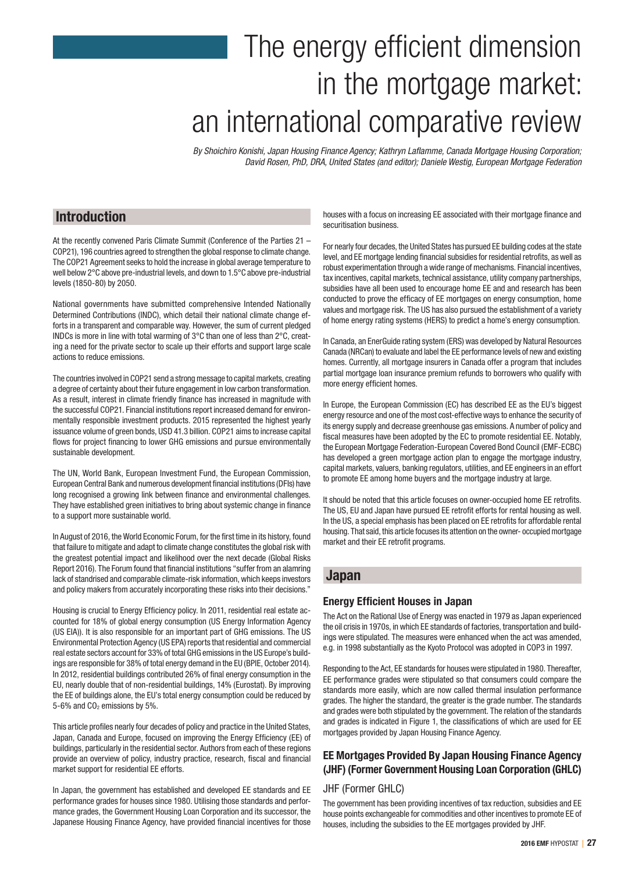# The energy efficient dimension in the mortgage market: an international comparative review

*By Shoichiro Konishi, Japan Housing Finance Agency; Kathryn Laflamme, Canada Mortgage Housing Corporation; David Rosen, PhD, DRA, United States (and editor); Daniele Westig, European Mortgage Federation*

## Introduction

At the recently convened Paris Climate Summit (Conference of the Parties 21 – COP21), 196 countries agreed to strengthen the global response to climate change. The COP21 Agreement seeks to hold the increase in global average temperature to well below 2°C above pre-industrial levels, and down to 1.5°C above pre-industrial levels (1850-80) by 2050.

National governments have submitted comprehensive Intended Nationally Determined Contributions (INDC), which detail their national climate change efforts in a transparent and comparable way. However, the sum of current pledged INDCs is more in line with total warming of 3°C than one of less than 2°C, creating a need for the private sector to scale up their efforts and support large scale actions to reduce emissions.

The countries involved in COP21 send a strong message to capital markets, creating a degree of certainty about their future engagement in low carbon transformation. As a result, interest in climate friendly finance has increased in magnitude with the successful COP21. Financial institutions report increased demand for environmentally responsible investment products. 2015 represented the highest yearly issuance volume of green bonds, USD 41.3 billion. COP21 aims to increase capital flows for project financing to lower GHG emissions and pursue environmentally sustainable development.

The UN, World Bank, European Investment Fund, the European Commission, European Central Bank and numerous development financial institutions (DFIs) have long recognised a growing link between finance and environmental challenges. They have established green initiatives to bring about systemic change in finance to a support more sustainable world.

In August of 2016, the World Economic Forum, for the first time in its history, found that failure to mitigate and adapt to climate change constitutes the global risk with the greatest potential impact and likelihood over the next decade (Global Risks Report 2016). The Forum found that financial institutions "suffer from an alamring lack of standrised and comparable climate-risk information, which keeps investors and policy makers from accurately incorporating these risks into their decisions."

Housing is crucial to Energy Efficiency policy. In 2011, residential real estate accounted for 18% of global energy consumption (US Energy Information Agency (US EIA)). It is also responsible for an important part of GHG emissions. The US Environmental Protection Agency (US EPA) reports that residential and commercial real estate sectors account for 33% of total GHG emissions in the US Europe's buildings are responsible for 38% of total energy demand in the EU (BPIE, October 2014). In 2012, residential buildings contributed 26% of final energy consumption in the EU, nearly double that of non-residential buildings, 14% (Eurostat). By improving the EE of buildings alone, the EU's total energy consumption could be reduced by 5-6% and CO<sub>2</sub> emissions by 5%.

This article profiles nearly four decades of policy and practice in the United States, Japan, Canada and Europe, focused on improving the Energy Efficiency (EE) of buildings, particularly in the residential sector. Authors from each of these regions provide an overview of policy, industry practice, research, fiscal and financial market support for residential EE efforts.

In Japan, the government has established and developed EE standards and EE performance grades for houses since 1980. Utilising those standards and performance grades, the Government Housing Loan Corporation and its successor, the Japanese Housing Finance Agency, have provided financial incentives for those houses with a focus on increasing EE associated with their mortgage finance and securitisation business.

For nearly four decades, the United States has pursued EE building codes at the state level, and EE mortgage lending financial subsidies for residential retrofits, as well as robust experimentation through a wide range of mechanisms. Financial incentives, tax incentives, capital markets, technical assistance, utility company partnerships, subsidies have all been used to encourage home EE and and research has been conducted to prove the efficacy of EE mortgages on energy consumption, home values and mortgage risk. The US has also pursued the establishment of a variety of home energy rating systems (HERS) to predict a home's energy consumption.

In Canada, an EnerGuide rating system (ERS) was developed by Natural Resources Canada (NRCan) to evaluate and label the EE performance levels of new and existing homes. Currently, all mortgage insurers in Canada offer a program that includes partial mortgage loan insurance premium refunds to borrowers who qualify with more energy efficient homes.

In Europe, the European Commission (EC) has described EE as the EU's biggest energy resource and one of the most cost-effective ways to enhance the security of its energy supply and decrease greenhouse gas emissions. A number of policy and fiscal measures have been adopted by the EC to promote residential EE. Notably, the European Mortgage Federation-European Covered Bond Council (EMF-ECBC) has developed a green mortgage action plan to engage the mortgage industry, capital markets, valuers, banking regulators, utilities, and EE engineers in an effort to promote EE among home buyers and the mortgage industry at large.

It should be noted that this article focuses on owner-occupied home EE retrofits. The US, EU and Japan have pursued EE retrofit efforts for rental housing as well. In the US, a special emphasis has been placed on EE retrofits for affordable rental housing. That said, this article focuses its attention on the owner- occupied mortgage market and their EE retrofit programs.

## Japan

## Energy Efficient Houses in Japan

The Act on the Rational Use of Energy was enacted in 1979 as Japan experienced the oil crisis in 1970s, in which EE standards of factories, transportation and buildings were stipulated. The measures were enhanced when the act was amended, e.g. in 1998 substantially as the Kyoto Protocol was adopted in COP3 in 1997.

Responding to the Act, EE standards for houses were stipulated in 1980. Thereafter, EE performance grades were stipulated so that consumers could compare the standards more easily, which are now called thermal insulation performance grades. The higher the standard, the greater is the grade number. The standards and grades were both stipulated by the government. The relation of the standards and grades is indicated in Figure 1, the classifications of which are used for EE mortgages provided by Japan Housing Finance Agency.

## EE Mortgages Provided By Japan Housing Finance Agency (JHF) (Former Government Housing Loan Corporation (GHLC)

## JHF (Former GHLC)

The government has been providing incentives of tax reduction, subsidies and EE house points exchangeable for commodities and other incentives to promote EE of houses, including the subsidies to the EE mortgages provided by JHF.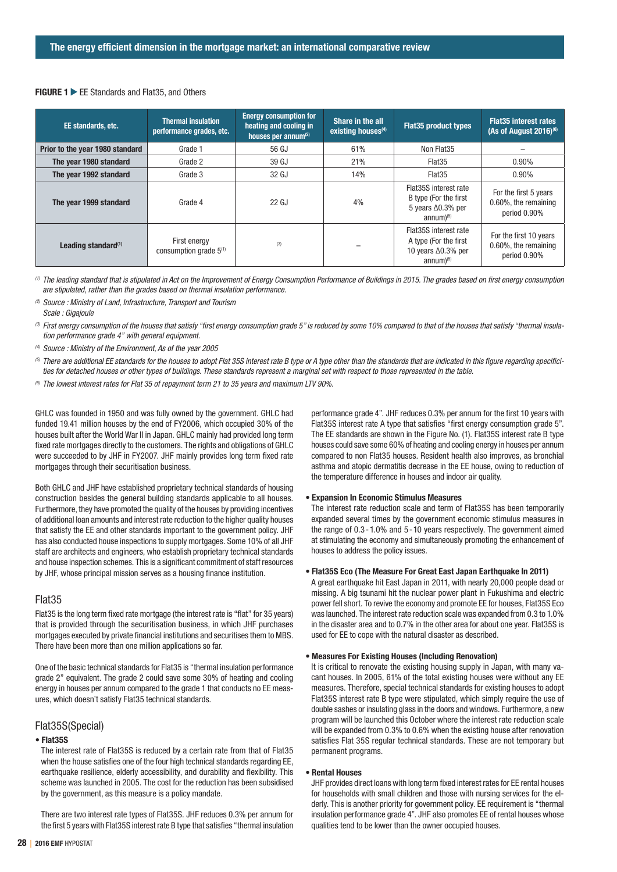#### FIGURE 1 EE Standards and Flat35, and Others

| EE standards, etc.              | <b>Thermal insulation</b><br>performance grades, etc. | <b>Energy consumption for</b><br>heating and cooling in<br>houses per annum <sup>(2)</sup> | Share in the all<br>existing houses <sup>(4)</sup> | <b>Flat35 product types</b>                                                                              | <b>Flat35 interest rates</b><br>(As of August 2016) $(6)$      |
|---------------------------------|-------------------------------------------------------|--------------------------------------------------------------------------------------------|----------------------------------------------------|----------------------------------------------------------------------------------------------------------|----------------------------------------------------------------|
| Prior to the year 1980 standard | Grade 1                                               | 56 GJ                                                                                      | 61%                                                | Non Flat35                                                                                               |                                                                |
| The year 1980 standard          | Grade 2                                               | 39 GJ                                                                                      | 21%                                                | Flat35                                                                                                   | $0.90\%$                                                       |
| The year 1992 standard          | Grade 3                                               | 32 GJ                                                                                      | 14%                                                | Flat35                                                                                                   | 0.90%                                                          |
| The year 1999 standard          | Grade 4                                               | 22 GJ                                                                                      | 4%                                                 | Flat35S interest rate<br>B type (For the first<br>5 years $\Delta 0.3\%$ per<br>$annum)$ <sup>(5)</sup>  | For the first 5 years<br>0.60%, the remaining<br>period 0.90%  |
| Leading standard $(1)$          | First energy<br>consumption grade $5(1)$              | (3)                                                                                        |                                                    | Flat35S interest rate<br>A type (For the first<br>10 years $\Delta 0.3\%$ per<br>$annum)$ <sup>(5)</sup> | For the first 10 years<br>0.60%, the remaining<br>period 0.90% |

*(1) The leading standard that is stipulated in Act on the Improvement of Energy Consumption Performance of Buildings in 2015. The grades based on first energy consumption are stipulated, rather than the grades based on thermal insulation performance.*

*(2) Source : Ministry of Land, Infrastructure, Transport and Tourism Scale : Gigajoule*

<sup>(3)</sup> First energy consumption of the houses that satisfy "first energy consumption grade 5" is reduced by some 10% compared to that of the houses that satisfy "thermal insula*tion performance grade 4" with general equipment.*

*(4) Source : Ministry of the Environment, As of the year 2005*

*(5) There are additional EE standards for the houses to adopt Flat 35S interest rate B type or A type other than the standards that are indicated in this figure regarding specificities for detached houses or other types of buildings. These standards represent a marginal set with respect to those represented in the table.*

*(6) The lowest interest rates for Flat 35 of repayment term 21 to 35 years and maximum LTV 90%.*

GHLC was founded in 1950 and was fully owned by the government. GHLC had funded 19.41 million houses by the end of FY2006, which occupied 30% of the houses built after the World War II in Japan. GHLC mainly had provided long term fixed rate mortgages directly to the customers. The rights and obligations of GHLC were succeeded to by JHF in FY2007. JHF mainly provides long term fixed rate mortgages through their securitisation business.

Both GHLC and JHF have established proprietary technical standards of housing construction besides the general building standards applicable to all houses. Furthermore, they have promoted the quality of the houses by providing incentives of additional loan amounts and interest rate reduction to the higher quality houses that satisfy the EE and other standards important to the government policy. JHF has also conducted house inspections to supply mortgages. Some 10% of all JHF staff are architects and engineers, who establish proprietary technical standards and house inspection schemes. This is a significant commitment of staff resources by JHF, whose principal mission serves as a housing finance institution.

## Flat35

Flat35 is the long term fixed rate mortgage (the interest rate is "flat" for 35 years) that is provided through the securitisation business, in which JHF purchases mortgages executed by private financial institutions and securitises them to MBS. There have been more than one million applications so far.

One of the basic technical standards for Flat35 is "thermal insulation performance grade 2" equivalent. The grade 2 could save some 30% of heating and cooling energy in houses per annum compared to the grade 1 that conducts no EE measures, which doesn't satisfy Flat35 technical standards.

#### Flat35S(Special)

#### • Flat35S

The interest rate of Flat35S is reduced by a certain rate from that of Flat35 when the house satisfies one of the four high technical standards regarding EE, earthquake resilience, elderly accessibility, and durability and flexibility. This scheme was launched in 2005. The cost for the reduction has been subsidised by the government, as this measure is a policy mandate.

There are two interest rate types of Flat35S. JHF reduces 0.3% per annum for the first 5 years with Flat35S interest rate B type that satisfies "thermal insulation performance grade 4". JHF reduces 0.3% per annum for the first 10 years with Flat35S interest rate A type that satisfies "first energy consumption grade 5". The EE standards are shown in the Figure No. (1). Flat35S interest rate B type houses could save some 60% of heating and cooling energy in houses per annum compared to non Flat35 houses. Resident health also improves, as bronchial asthma and atopic dermatitis decrease in the EE house, owing to reduction of the temperature difference in houses and indoor air quality.

#### • Expansion In Economic Stimulus Measures

The interest rate reduction scale and term of Flat35S has been temporarily expanded several times by the government economic stimulus measures in the range of 0.3-1.0% and 5-10 years respectively. The government aimed at stimulating the economy and simultaneously promoting the enhancement of houses to address the policy issues.

#### • Flat35S Eco (The Measure For Great East Japan Earthquake In 2011)

A great earthquake hit East Japan in 2011, with nearly 20,000 people dead or missing. A big tsunami hit the nuclear power plant in Fukushima and electric power fell short. To revive the economy and promote EE for houses, Flat35S Eco was launched. The interest rate reduction scale was expanded from 0.3 to 1.0% in the disaster area and to 0.7% in the other area for about one year. Flat35S is used for EE to cope with the natural disaster as described.

#### • Measures For Existing Houses (Including Renovation)

It is critical to renovate the existing housing supply in Japan, with many vacant houses. In 2005, 61% of the total existing houses were without any EE measures. Therefore, special technical standards for existing houses to adopt Flat35S interest rate B type were stipulated, which simply require the use of double sashes or insulating glass in the doors and windows. Furthermore, a new program will be launched this October where the interest rate reduction scale will be expanded from 0.3% to 0.6% when the existing house after renovation satisfies Flat 35S regular technical standards. These are not temporary but permanent programs.

#### • Rental Houses

JHF provides direct loans with long term fixed interest rates for EE rental houses for households with small children and those with nursing services for the elderly. This is another priority for government policy. EE requirement is "thermal insulation performance grade 4". JHF also promotes EE of rental houses whose qualities tend to be lower than the owner occupied houses.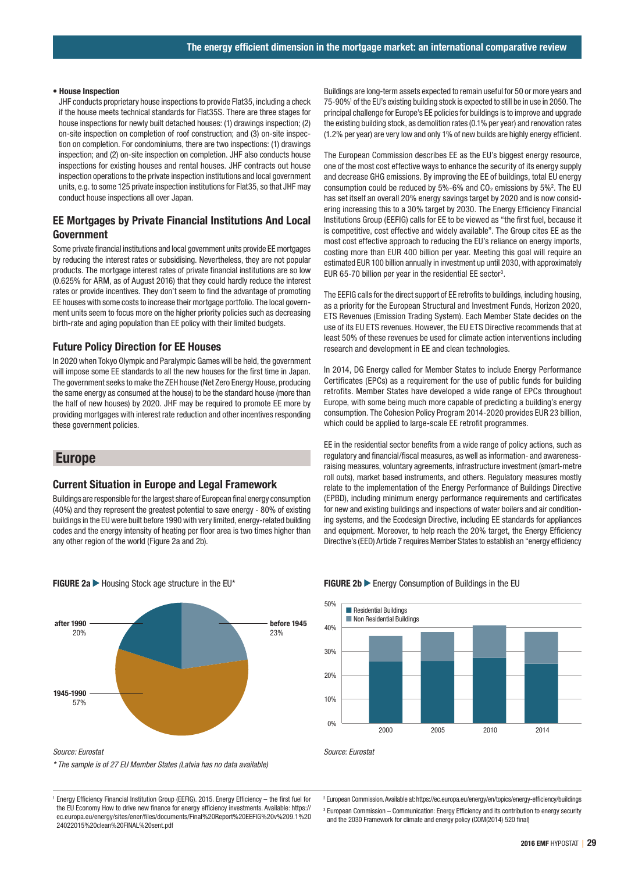#### • House Inspection

JHF conducts proprietary house inspections to provide Flat35, including a check if the house meets technical standards for Flat35S. There are three stages for house inspections for newly built detached houses: (1) drawings inspection; (2) on-site inspection on completion of roof construction; and (3) on-site inspection on completion. For condominiums, there are two inspections: (1) drawings inspection; and (2) on-site inspection on completion. JHF also conducts house inspections for existing houses and rental houses. JHF contracts out house inspection operations to the private inspection institutions and local government units, e.g. to some 125 private inspection institutions for Flat35, so that JHF may conduct house inspections all over Japan.

## EE Mortgages by Private Financial Institutions And Local Government

Some private financial institutions and local government units provide EE mortgages by reducing the interest rates or subsidising. Nevertheless, they are not popular products. The mortgage interest rates of private financial institutions are so low (0.625% for ARM, as of August 2016) that they could hardly reduce the interest rates or provide incentives. They don't seem to find the advantage of promoting EE houses with some costs to increase their mortgage portfolio. The local government units seem to focus more on the higher priority policies such as decreasing birth-rate and aging population than EE policy with their limited budgets.

## Future Policy Direction for EE Houses

In 2020 when Tokyo Olympic and Paralympic Games will be held, the government will impose some EE standards to all the new houses for the first time in Japan. The government seeks to make the ZEH house (Net Zero Energy House, producing the same energy as consumed at the house) to be the standard house (more than the half of new houses) by 2020. JHF may be required to promote EE more by providing mortgages with interest rate reduction and other incentives responding these government policies.

## Europe

#### Current Situation in Europe and Legal Framework

Buildings are responsible for the largest share of European final energy consumption (40%) and they represent the greatest potential to save energy - 80% of existing buildings in the EU were built before 1990 with very limited, energy-related building codes and the energy intensity of heating per floor area is two times higher than any other region of the world (Figure 2a and 2b).



*\* The sample is of 27 EU Member States (Latvia has no data available)*

<sup>1</sup> Energy Efficiency Financial Institution Group (EEFIG). 2015. Energy Efficiency – the first fuel for the EU Economy How to drive new finance for energy efficiency investments. Available: https:// ec.europa.eu/energy/sites/ener/files/documents/Final%20Report%20EEFIG%20v%209.1%20 24022015%20clean%20FINAL%20sent.pdf

Buildings are long-term assets expected to remain useful for 50 or more years and 75-90%<sup>1</sup> of the EU's existing building stock is expected to still be in use in 2050. The principal challenge for Europe's EE policies for buildings is to improve and upgrade the existing building stock, as demolition rates (0.1% per year) and renovation rates (1.2% per year) are very low and only 1% of new builds are highly energy efficient.

The European Commission describes EE as the EU's biggest energy resource, one of the most cost effective ways to enhance the security of its energy supply and decrease GHG emissions. By improving the EE of buildings, total EU energy consumption could be reduced by  $5\%$ -6% and  $CO<sub>2</sub>$  emissions by  $5\%$ <sup>2</sup>. The EU has set itself an overall 20% energy savings target by 2020 and is now considering increasing this to a 30% target by 2030. The Energy Efficiency Financial Institutions Group (EEFIG) calls for EE to be viewed as "the first fuel, because it is competitive, cost effective and widely available". The Group cites EE as the most cost effective approach to reducing the EU's reliance on energy imports, costing more than EUR 400 billion per year. Meeting this goal will require an estimated EUR 100 billion annually in investment up until 2030, with approximately EUR 65-70 billion per year in the residential EE sector<sup>3</sup>.

The EEFIG calls for the direct support of EE retrofits to buildings, including housing, as a priority for the European Structural and Investment Funds, Horizon 2020, ETS Revenues (Emission Trading System). Each Member State decides on the use of its EU ETS revenues. However, the EU ETS Directive recommends that at least 50% of these revenues be used for climate action interventions including research and development in EE and clean technologies.

In 2014, DG Energy called for Member States to include Energy Performance Certificates (EPCs) as a requirement for the use of public funds for building retrofits. Member States have developed a wide range of EPCs throughout Europe, with some being much more capable of predicting a building's energy consumption. The Cohesion Policy Program 2014-2020 provides EUR 23 billion, which could be applied to large-scale EE retrofit programmes.

EE in the residential sector benefits from a wide range of policy actions, such as regulatory and financial/fiscal measures, as well as information- and awarenessraising measures, voluntary agreements, infrastructure investment (smart-metre roll outs), market based instruments, and others. Regulatory measures mostly relate to the implementation of the Energy Performance of Buildings Directive (EPBD), including minimum energy performance requirements and certificates for new and existing buildings and inspections of water boilers and air conditioning systems, and the Ecodesign Directive, including EE standards for appliances and equipment. Moreover, to help reach the 20% target, the Energy Efficiency Directive's (EED) Article 7 requires Member States to establish an "energy efficiency



FIGURE 2a Internal Housing Stock age structure in the EU\* FIGURE 2b Internal Energy Consumption of Buildings in the EU

2 European Commission. Available at: https://ec.europa.eu/energy/en/topics/energy-efficiency/buildings

<sup>3</sup> European Commission – Communication: Energy Efficiency and its contribution to energy security and the 2030 Framework for climate and energy policy (COM(2014) 520 final)

*Source: Eurostat*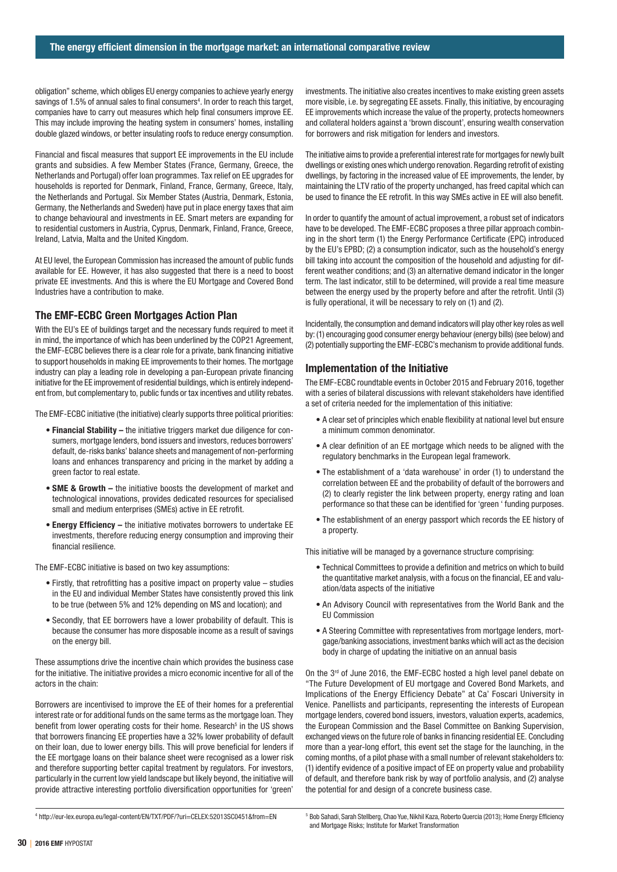obligation" scheme, which obliges EU energy companies to achieve yearly energy savings of 1.5% of annual sales to final consumers<sup>4</sup>. In order to reach this target, companies have to carry out measures which help final consumers improve EE. This may include improving the heating system in consumers' homes, installing double glazed windows, or better insulating roofs to reduce energy consumption.

Financial and fiscal measures that support EE improvements in the EU include grants and subsidies. A few Member States (France, Germany, Greece, the Netherlands and Portugal) offer loan programmes. Tax relief on EE upgrades for households is reported for Denmark, Finland, France, Germany, Greece, Italy, the Netherlands and Portugal. Six Member States (Austria, Denmark, Estonia, Germany, the Netherlands and Sweden) have put in place energy taxes that aim to change behavioural and investments in EE. Smart meters are expanding for to residential customers in Austria, Cyprus, Denmark, Finland, France, Greece, Ireland, Latvia, Malta and the United Kingdom.

At EU level, the European Commission has increased the amount of public funds available for EE. However, it has also suggested that there is a need to boost private EE investments. And this is where the EU Mortgage and Covered Bond Industries have a contribution to make.

## The EMF-ECBC Green Mortgages Action Plan

With the EU's EE of buildings target and the necessary funds required to meet it in mind, the importance of which has been underlined by the COP21 Agreement, the EMF-ECBC believes there is a clear role for a private, bank financing initiative to support households in making EE improvements to their homes. The mortgage industry can play a leading role in developing a pan-European private financing initiative for the EE improvement of residential buildings, which is entirely independent from, but complementary to, public funds or tax incentives and utility rebates.

The EMF-ECBC initiative (the initiative) clearly supports three political priorities:

- Financial Stability the initiative triggers market due diligence for consumers, mortgage lenders, bond issuers and investors, reduces borrowers' default, de-risks banks' balance sheets and management of non-performing loans and enhances transparency and pricing in the market by adding a green factor to real estate.
- SME & Growth the initiative boosts the development of market and technological innovations, provides dedicated resources for specialised small and medium enterprises (SMEs) active in EE retrofit.
- Energy Efficiency the initiative motivates borrowers to undertake EE investments, therefore reducing energy consumption and improving their financial resilience.

The EMF-ECBC initiative is based on two key assumptions:

- Firstly, that retrofitting has a positive impact on property value studies in the EU and individual Member States have consistently proved this link to be true (between 5% and 12% depending on MS and location); and
- Secondly, that EE borrowers have a lower probability of default. This is because the consumer has more disposable income as a result of savings on the energy bill.

These assumptions drive the incentive chain which provides the business case for the initiative. The initiative provides a micro economic incentive for all of the actors in the chain:

Borrowers are incentivised to improve the EE of their homes for a preferential interest rate or for additional funds on the same terms as the mortgage loan. They benefit from lower operating costs for their home. Research<sup>5</sup> in the US shows that borrowers financing EE properties have a 32% lower probability of default on their loan, due to lower energy bills. This will prove beneficial for lenders if the EE mortgage loans on their balance sheet were recognised as a lower risk and therefore supporting better capital treatment by regulators. For investors, particularly in the current low yield landscape but likely beyond, the initiative will provide attractive interesting portfolio diversification opportunities for 'green'

investments. The initiative also creates incentives to make existing green assets more visible, i.e. by segregating EE assets. Finally, this initiative, by encouraging EE improvements which increase the value of the property, protects homeowners and collateral holders against a 'brown discount', ensuring wealth conservation for borrowers and risk mitigation for lenders and investors.

The initiative aims to provide a preferential interest rate for mortgages for newly built dwellings or existing ones which undergo renovation. Regarding retrofit of existing dwellings, by factoring in the increased value of EE improvements, the lender, by maintaining the LTV ratio of the property unchanged, has freed capital which can be used to finance the EE retrofit. In this way SMEs active in EE will also benefit.

In order to quantify the amount of actual improvement, a robust set of indicators have to be developed. The EMF-ECBC proposes a three pillar approach combining in the short term (1) the Energy Performance Certificate (EPC) introduced by the EU's EPBD; (2) a consumption indicator, such as the household's energy bill taking into account the composition of the household and adjusting for different weather conditions; and (3) an alternative demand indicator in the longer term. The last indicator, still to be determined, will provide a real time measure between the energy used by the property before and after the retrofit. Until (3) is fully operational, it will be necessary to rely on (1) and (2).

Incidentally, the consumption and demand indicators will play other key roles as well by: (1) encouraging good consumer energy behaviour (energy bills) (see below) and (2) potentially supporting the EMF-ECBC's mechanism to provide additional funds.

### Implementation of the Initiative

The EMF-ECBC roundtable events in October 2015 and February 2016, together with a series of bilateral discussions with relevant stakeholders have identified a set of criteria needed for the implementation of this initiative:

- A clear set of principles which enable flexibility at national level but ensure a minimum common denominator.
- A clear definition of an EE mortgage which needs to be aligned with the regulatory benchmarks in the European legal framework.
- The establishment of a 'data warehouse' in order (1) to understand the correlation between EE and the probability of default of the borrowers and (2) to clearly register the link between property, energy rating and loan performance so that these can be identified for 'green ' funding purposes.
- The establishment of an energy passport which records the EE history of a property.

This initiative will be managed by a governance structure comprising:

- Technical Committees to provide a definition and metrics on which to build the quantitative market analysis, with a focus on the financial, EE and valuation/data aspects of the initiative
- An Advisory Council with representatives from the World Bank and the EU Commission
- A Steering Committee with representatives from mortgage lenders, mortgage/banking associations, investment banks which will act as the decision body in charge of updating the initiative on an annual basis

On the 3<sup>rd</sup> of June 2016, the EMF-ECBC hosted a high level panel debate on "The Future Development of EU mortgage and Covered Bond Markets, and Implications of the Energy Efficiency Debate" at Ca' Foscari University in Venice. Panellists and participants, representing the interests of European mortgage lenders, covered bond issuers, investors, valuation experts, academics, the European Commission and the Basel Committee on Banking Supervision, exchanged views on the future role of banks in financing residential EE. Concluding more than a year-long effort, this event set the stage for the launching, in the coming months, of a pilot phase with a small number of relevant stakeholders to: (1) identify evidence of a positive impact of EE on property value and probability of default, and therefore bank risk by way of portfolio analysis, and (2) analyse the potential for and design of a concrete business case.

<sup>4</sup> http://eur-lex.europa.eu/legal-content/EN/TXT/PDF/?uri=CELEX:52013SC0451&from=EN

<sup>&</sup>lt;sup>5</sup> Bob Sahadi, Sarah Stellberg, Chao Yue, Nikhil Kaza, Roberto Quercia (2013); Home Energy Efficiency and Mortgage Risks; Institute for Market Transformation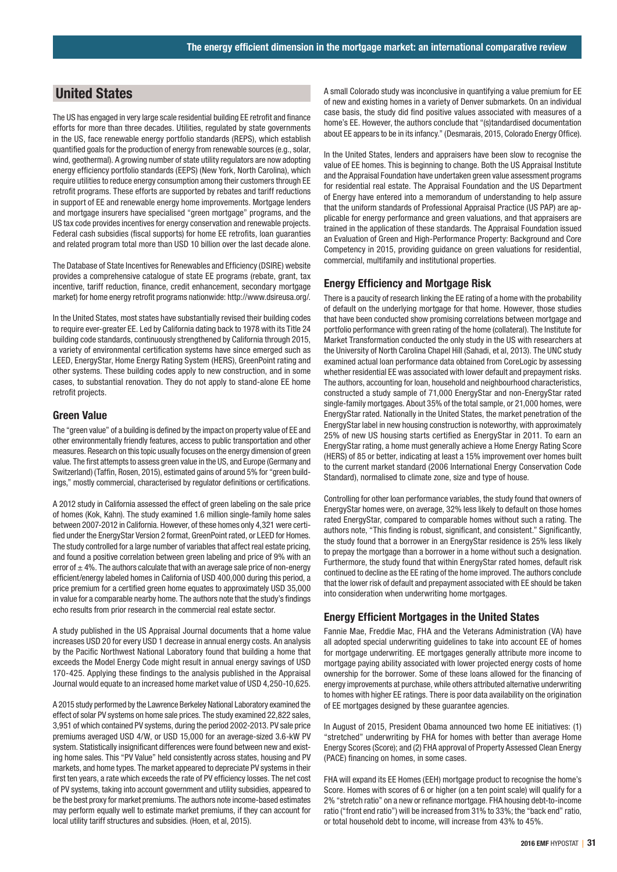## United States

The US has engaged in very large scale residential building EE retrofit and finance efforts for more than three decades. Utilities, regulated by state governments in the US, face renewable energy portfolio standards (REPS), which establish quantified goals for the production of energy from renewable sources (e.g., solar, wind, geothermal). A growing number of state utility regulators are now adopting energy efficiency portfolio standards (EEPS) (New York, North Carolina), which require utilities to reduce energy consumption among their customers through EE retrofit programs. These efforts are supported by rebates and tariff reductions in support of EE and renewable energy home improvements. Mortgage lenders and mortgage insurers have specialised "green mortgage" programs, and the US tax code provides incentives for energy conservation and renewable projects. Federal cash subsidies (fiscal supports) for home EE retrofits, loan guaranties and related program total more than USD 10 billion over the last decade alone.

The Database of State Incentives for Renewables and Efficiency (DSIRE) website provides a comprehensive catalogue of state EE programs (rebate, grant, tax incentive, tariff reduction, finance, credit enhancement, secondary mortgage market) for home energy retrofit programs nationwide: http://www.dsireusa.org/.

In the United States, most states have substantially revised their building codes to require ever-greater EE. Led by California dating back to 1978 with its Title 24 building code standards, continuously strengthened by California through 2015, a variety of environmental certification systems have since emerged such as LEED, EnergyStar, Home Energy Rating System (HERS), GreenPoint rating and other systems. These building codes apply to new construction, and in some cases, to substantial renovation. They do not apply to stand-alone EE home retrofit projects.

#### Green Value

The "green value" of a building is defined by the impact on property value of EE and other environmentally friendly features, access to public transportation and other measures. Research on this topic usually focuses on the energy dimension of green value. The first attempts to assess green value in the US, and Europe (Germany and Switzerland) (Taffin, Rosen, 2015), estimated gains of around 5% for "green buildings," mostly commercial, characterised by regulator definitions or certifications.

A 2012 study in California assessed the effect of green labeling on the sale price of homes (Kok, Kahn). The study examined 1.6 million single-family home sales between 2007-2012 in California. However, of these homes only 4,321 were certified under the EnergyStar Version 2 format, GreenPoint rated, or LEED for Homes. The study controlled for a large number of variables that affect real estate pricing, and found a positive correlation between green labeling and price of 9% with an error of  $\pm$  4%. The authors calculate that with an average sale price of non-energy efficient/energy labeled homes in California of USD 400,000 during this period, a price premium for a certified green home equates to approximately USD 35,000 in value for a comparable nearby home. The authors note that the study's findings echo results from prior research in the commercial real estate sector.

A study published in the US Appraisal Journal documents that a home value increases USD 20 for every USD 1 decrease in annual energy costs. An analysis by the Pacific Northwest National Laboratory found that building a home that exceeds the Model Energy Code might result in annual energy savings of USD 170-425. Applying these findings to the analysis published in the Appraisal Journal would equate to an increased home market value of USD 4,250-10,625.

A 2015 study performed by the Lawrence Berkeley National Laboratory examined the effect of solar PV systems on home sale prices. The study examined 22,822 sales, 3,951 of which contained PV systems, during the period 2002-2013. PV sale price premiums averaged USD 4/W, or USD 15,000 for an average-sized 3.6-kW PV system. Statistically insignificant differences were found between new and existing home sales. This "PV Value" held consistently across states, housing and PV markets, and home types. The market appeared to depreciate PV systems in their first ten years, a rate which exceeds the rate of PV efficiency losses. The net cost of PV systems, taking into account government and utility subsidies, appeared to be the best proxy for market premiums. The authors note income-based estimates may perform equally well to estimate market premiums, if they can account for local utility tariff structures and subsidies. (Hoen, et al, 2015).

A small Colorado study was inconclusive in quantifying a value premium for EE of new and existing homes in a variety of Denver submarkets. On an individual case basis, the study did find positive values associated with measures of a home's EE. However, the authors conclude that "(s)tandardised documentation about EE appears to be in its infancy." (Desmarais, 2015, Colorado Energy Office).

In the United States, lenders and appraisers have been slow to recognise the value of EE homes. This is beginning to change. Both the US Appraisal Institute and the Appraisal Foundation have undertaken green value assessment programs for residential real estate. The Appraisal Foundation and the US Department of Energy have entered into a memorandum of understanding to help assure that the uniform standards of Professional Appraisal Practice (US PAP) are applicable for energy performance and green valuations, and that appraisers are trained in the application of these standards. The Appraisal Foundation issued an Evaluation of Green and High-Performance Property: Background and Core Competency in 2015, providing guidance on green valuations for residential, commercial, multifamily and institutional properties.

#### Energy Efficiency and Mortgage Risk

There is a paucity of research linking the EE rating of a home with the probability of default on the underlying mortgage for that home. However, those studies that have been conducted show promising correlations between mortgage and portfolio performance with green rating of the home (collateral). The Institute for Market Transformation conducted the only study in the US with researchers at the University of North Carolina Chapel Hill (Sahadi, et al, 2013). The UNC study examined actual loan performance data obtained from CoreLogic by assessing whether residential EE was associated with lower default and prepayment risks. The authors, accounting for loan, household and neighbourhood characteristics, constructed a study sample of 71,000 EnergyStar and non-EnergyStar rated single-family mortgages. About 35% of the total sample, or 21,000 homes, were EnergyStar rated. Nationally in the United States, the market penetration of the EnergyStar label in new housing construction is noteworthy, with approximately 25% of new US housing starts certified as EnergyStar in 2011. To earn an EnergyStar rating, a home must generally achieve a Home Energy Rating Score (HERS) of 85 or better, indicating at least a 15% improvement over homes built to the current market standard (2006 International Energy Conservation Code Standard), normalised to climate zone, size and type of house.

Controlling for other loan performance variables, the study found that owners of EnergyStar homes were, on average, 32% less likely to default on those homes rated EnergyStar, compared to comparable homes without such a rating. The authors note, "This finding is robust, significant, and consistent." Significantly, the study found that a borrower in an EnergyStar residence is 25% less likely to prepay the mortgage than a borrower in a home without such a designation. Furthermore, the study found that within EnergyStar rated homes, default risk continued to decline as the EE rating of the home improved. The authors conclude that the lower risk of default and prepayment associated with EE should be taken into consideration when underwriting home mortgages.

#### Energy Efficient Mortgages in the United States

Fannie Mae, Freddie Mac, FHA and the Veterans Administration (VA) have all adopted special underwriting guidelines to take into account EE of homes for mortgage underwriting. EE mortgages generally attribute more income to mortgage paying ability associated with lower projected energy costs of home ownership for the borrower. Some of these loans allowed for the financing of energy improvements at purchase, while others attributed alternative underwriting to homes with higher EE ratings. There is poor data availability on the origination of EE mortgages designed by these guarantee agencies.

In August of 2015, President Obama announced two home EE initiatives: (1) "stretched" underwriting by FHA for homes with better than average Home Energy Scores (Score); and (2) FHA approval of Property Assessed Clean Energy (PACE) financing on homes, in some cases.

FHA will expand its EE Homes (EEH) mortgage product to recognise the home's Score. Homes with scores of 6 or higher (on a ten point scale) will qualify for a 2% "stretch ratio" on a new or refinance mortgage. FHA housing debt-to-income ratio ("front end ratio") will be increased from 31% to 33%; the "back end" ratio, or total household debt to income, will increase from 43% to 45%.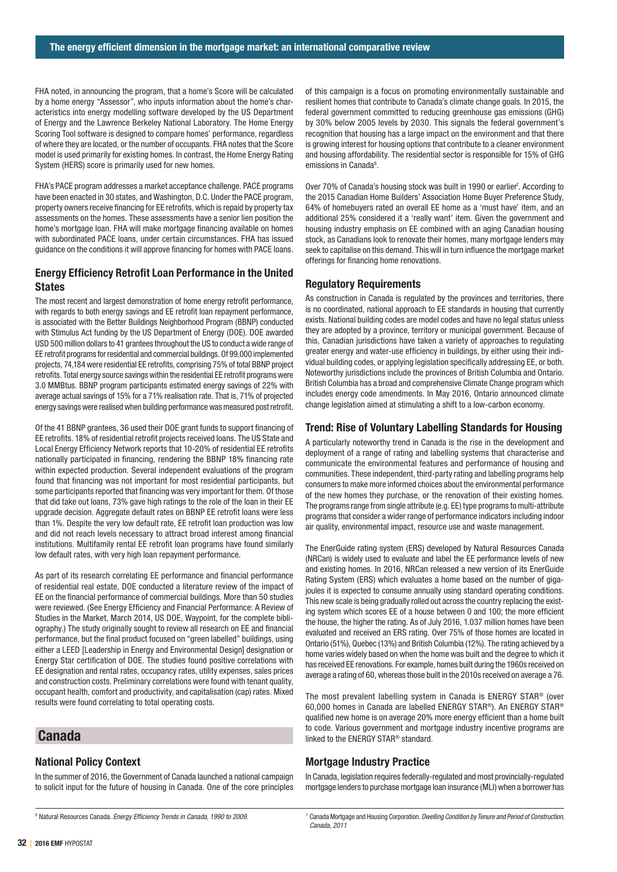FHA noted, in announcing the program, that a home's Score will be calculated by a home energy "Assessor", who inputs information about the home's characteristics into energy modelling software developed by the US Department of Energy and the Lawrence Berkeley National Laboratory. The Home Energy Scoring Tool software is designed to compare homes' performance, regardless of where they are located, or the number of occupants. FHA notes that the Score model is used primarily for existing homes. In contrast, the Home Energy Rating System (HERS) score is primarily used for new homes.

FHA's PACE program addresses a market acceptance challenge. PACE programs have been enacted in 30 states, and Washington, D.C. Under the PACE program, property owners receive financing for EE retrofits, which is repaid by property tax assessments on the homes. These assessments have a senior lien position the home's mortgage loan. FHA will make mortgage financing available on homes with subordinated PACE loans, under certain circumstances. FHA has issued guidance on the conditions it will approve financing for homes with PACE loans.

## Energy Efficiency Retrofit Loan Performance in the United **States**

The most recent and largest demonstration of home energy retrofit performance, with regards to both energy savings and EE retrofit loan repayment performance, is associated with the Better Buildings Neighborhood Program (BBNP) conducted with Stimulus Act funding by the US Department of Energy (DOE). DOE awarded USD 500 million dollars to 41 grantees throughout the US to conduct a wide range of EE retrofit programs for residential and commercial buildings. Of 99,000 implemented projects, 74,184 were residential EE retrofits, comprising 75% of total BBNP project retrofits. Total energy source savings within the residential EE retrofit programs were 3.0 MMBtus. BBNP program participants estimated energy savings of 22% with average actual savings of 15% for a 71% realisation rate. That is, 71% of projected energy savings were realised when building performance was measured post retrofit.

Of the 41 BBNP grantees, 36 used their DOE grant funds to support financing of EE retrofits. 18% of residential retrofit projects received loans. The US State and Local Energy Efficiency Network reports that 10-20% of residential EE retrofits nationally participated in financing, rendering the BBNP 18% financing rate within expected production. Several independent evaluations of the program found that financing was not important for most residential participants, but some participants reported that financing was very important for them. Of those that did take out loans, 73% gave high ratings to the role of the loan in their EE upgrade decision. Aggregate default rates on BBNP EE retrofit loans were less than 1%. Despite the very low default rate, EE retrofit loan production was low and did not reach levels necessary to attract broad interest among financial institutions. Multifamily rental EE retrofit loan programs have found similarly low default rates, with very high loan repayment performance.

As part of its research correlating EE performance and financial performance of residential real estate, DOE conducted a literature review of the impact of EE on the financial performance of commercial buildings. More than 50 studies were reviewed. (See Energy Efficiency and Financial Performance: A Review of Studies in the Market, March 2014, US DOE, Waypoint, for the complete bibliography.) The study originally sought to review all research on EE and financial performance, but the final product focused on "green labelled" buildings, using either a LEED [Leadership in Energy and Environmental Design] designation or Energy Star certification of DOE. The studies found positive correlations with EE designation and rental rates, occupancy rates, utility expenses, sales prices and construction costs. Preliminary correlations were found with tenant quality, occupant health, comfort and productivity, and capitalisation (cap) rates. Mixed results were found correlating to total operating costs.

## Canada

## National Policy Context

In the summer of 2016, the Government of Canada launched a national campaign to solicit input for the future of housing in Canada. One of the core principles

of this campaign is a focus on promoting environmentally sustainable and resilient homes that contribute to Canada's climate change goals. In 2015, the federal government committed to reducing greenhouse gas emissions (GHG) by 30% below 2005 levels by 2030. This signals the federal government's recognition that housing has a large impact on the environment and that there is growing interest for housing options that contribute to a cleaner environment and housing affordability. The residential sector is responsible for 15% of GHG emissions in Canada<sup>6</sup>.

Over 70% of Canada's housing stock was built in 1990 or earlier<sup>7</sup>. According to the 2015 Canadian Home Builders' Association Home Buyer Preference Study, 64% of homebuyers rated an overall EE home as a 'must have' item, and an additional 25% considered it a 'really want' item. Given the government and housing industry emphasis on EE combined with an aging Canadian housing stock, as Canadians look to renovate their homes, many mortgage lenders may seek to capitalise on this demand. This will in turn influence the mortgage market offerings for financing home renovations.

#### Regulatory Requirements

As construction in Canada is regulated by the provinces and territories, there is no coordinated, national approach to EE standards in housing that currently exists. National building codes are model codes and have no legal status unless they are adopted by a province, territory or municipal government. Because of this, Canadian jurisdictions have taken a variety of approaches to regulating greater energy and water-use efficiency in buildings, by either using their individual building codes, or applying legislation specifically addressing EE, or both. Noteworthy jurisdictions include the provinces of British Columbia and Ontario. British Columbia has a broad and comprehensive Climate Change program which includes energy code amendments. In May 2016, Ontario announced climate change legislation aimed at stimulating a shift to a low-carbon economy.

## Trend: Rise of Voluntary Labelling Standards for Housing

A particularly noteworthy trend in Canada is the rise in the development and deployment of a range of rating and labelling systems that characterise and communicate the environmental features and performance of housing and communities. These independent, third-party rating and labelling programs help consumers to make more informed choices about the environmental performance of the new homes they purchase, or the renovation of their existing homes. The programs range from single attribute (e.g. EE) type programs to multi-attribute programs that consider a wider range of performance indicators including indoor air quality, environmental impact, resource use and waste management.

The EnerGuide rating system (ERS) developed by Natural Resources Canada (NRCan) is widely used to evaluate and label the EE performance levels of new and existing homes. In 2016, NRCan released a new version of its EnerGuide Rating System (ERS) which evaluates a home based on the number of gigajoules it is expected to consume annually using standard operating conditions. This new scale is being gradually rolled out across the country replacing the existing system which scores EE of a house between 0 and 100; the more efficient the house, the higher the rating. As of July 2016, 1.037 million homes have been evaluated and received an ERS rating. Over 75% of those homes are located in Ontario (51%), Quebec (13%) and British Columbia (12%). The rating achieved by a home varies widely based on when the home was built and the degree to which it has received EE renovations. For example, homes built during the 1960s received on average a rating of 60, whereas those built in the 2010s received on average a 76.

The most prevalent labelling system in Canada is ENERGY STAR® (over 60,000 homes in Canada are labelled ENERGY STAR®). An ENERGY STAR® qualified new home is on average 20% more energy efficient than a home built to code. Various government and mortgage industry incentive programs are linked to the ENERGY STAR® standard.

#### Mortgage Industry Practice

In Canada, legislation requires federally-regulated and most provincially-regulated mortgage lenders to purchase mortgage loan insurance (MLI) when a borrower has

<sup>6</sup> Natural Resources Canada. Energy Efficiency Trends in Canada, 1990 to 2009.